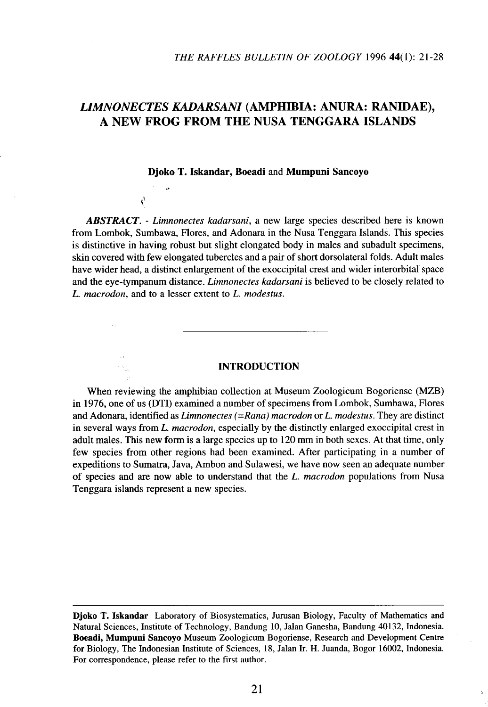# *LIMNONECTES KADARSANI* **(AMPHIBIA: ANURA: RANIDAE), A NEW FROG FROM THE NUSA TENGGARA ISLANDS**

#### Djoko T. Iskandar, Boeadi and Mumpuni Sancoyo

ţ.

*ABSTRACT. - Limnonectes kadarsani,* a new large species described here is known from Lombok, Sumbawa, Flores, and Adonara in the Nusa Tenggara Islands. This species is distinctive in having robust but slight elongated body in males and subadult specimens, skin covered with few elongated tubercles and a pair of short dorsolateral folds. Adult males have wider head, a distinct enlargement of the exoccipital crest and wider interorbital space and the eye-tympanum distance. *Limnonectes kadarsani* is believed to be closely related to *L. macrodon,* and to a lesser extent to *L. modestus.*

# **INTRODUCTION**

When reviewing the amphibian collection at Museum Zoologicum Bogoriense (MZB) in 1976, one of us (DTI) examined a number of specimens from Lombok, Sumbawa, Flores and Adonara, identified as *Limnonectes (=Rana) macrodon* or *L. modestus.* They are distinct in several ways from *L. macrodon,* especially by the distinctly enlarged exoccipital crest in adult males. This new form is a large species up to 120 mm in both sexes. At that time, only few species from other regions had been examined. After participating in a number of expeditions to Sumatra, Java, Ambon and Sulawesi, we have now seen an adequate number of species and are now able to understand that the *L. macrodon* populations from Nusa Tenggara islands represent a new species.

**Djoko T. Iskandar** Laboratory of Biosystematics, Jurusan Biology, Faculty of Mathematics and Natural Sciences, Institute of Technology, Bandung 10, Jalan Ganesha, Bandung 40132, Indonesia. **Boeadi, Mumpuni Sancoyo** Museum Zoologicum Bogoriense, Research and Development Centre for Biology, The Indonesian Institute of Sciences, 18, Jalan Ir. H. Juanda, Bogor 16002, Indonesia. For correspondence, please refer to the first author.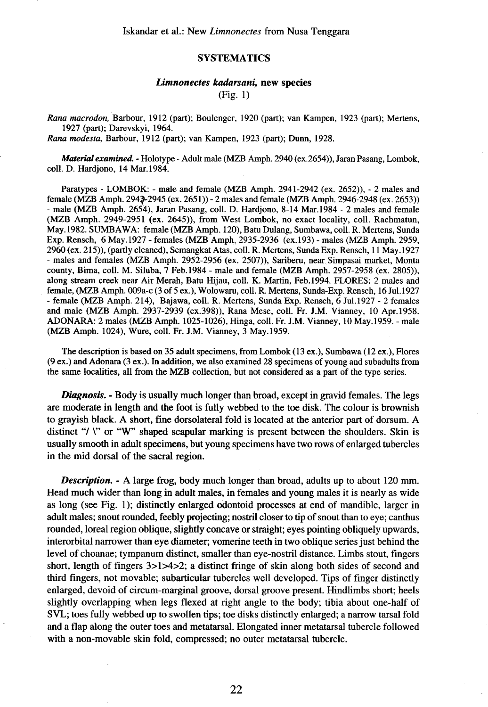# **SYSTEMATICS**

# *Limnonectes kadarsani,* new species

(Fig. 1)

*Rana macrodon,* Barbour, 1912 (part); Boulenger, 1920 (part); van Kampen, 1923 (part); Mertens, 1927 (part); Darevskyi, 1964.

*Rana modesta,* Barbour, 1912 (part); van Kampen, 1923 (part); Dunn, 1928.

*Material examined. -* Holotype - Adult male (MZB Amph. 2940 (ex.2654», Jaran Pasang, Lombok, colI. D. Hardjono, 14 Mar. 1984.

Paratypes - LOMBOK: - male and female (MZB Amph. 2941-2942 (ex. 2652)), - 2 males and female (MZB Amph. 2943-2945 (ex. 2651)) - 2 males and female (MZB Amph. 2946-2948 (ex. 2653)) - male (MZB Amph. 2654), Jaran Pasang, colI. D. Hardjono, 8-14 Mar. 1984 - 2 males and female (MZB Amph. 2949-2951 (ex. 2645», from West Lombok, no exact locality, colI. Rachmatun, May. 1982. SUMBA W A: female (MZB Amph. 120), Batu Dulang, Sumbawa, colI. R. Mertens, Sunda Exp. Rensch, 6 May. 1927 - females (MZB Amph, 2935-2936 (ex. 193) - males (MZB Amph. 2959, 2960 (ex. 215», (partly cleaned), Semangkat Atas, colI. R. Mertens, Sunda Exp. Rensch, 11 May. 1927 - males and females (MZB Amph. 2952-2956 (ex. 2507)), Sariberu, near Simpasai market, Monta county, Bima, colI. M. Siluba, 7 Feb. 1984 - male and female (MZB Amph. 2957-2958 (ex. 2805», along stream creek near Air Merah, Batu Hijau, colI. K. Martin, Feb.1994. FLORES: 2 males and female, (MZB Amph. 009a-c (3 of5 ex.), Wolowaru, colI. R. Mertens, Sunda-Exp. Rensch, 16 Jul.1927 - female (MZB Amph. 214), Bajawa, colI. R. Mertens, Sunda Exp. Rensch, 6 Jul.1927 - 2 females and male (MZB Amph. 2937-2939 (ex.398», Rana Mese, colI. Fr. J.M. Vianney, 10 Apr.1958. ADONARA: 2 males (MZB Amph. 1025-1026), Hinga, colI. Fr. J.M. Vianney, 10 May. 1959. - male (MZB Amph. 1024), Wure, colI. Fr. J.M. Vianney, 3 May.1959.

The description is based on 35 adult specimens, from Lombok (13 ex.), Sumbawa (12 ex.), Flores (9 ex.) and Adonara (3 ex.). In addition, we also examined 28 specimens of young and subadults from the same localities, all from the MZB collection, but not considered as a part of the type series.

*Diagnosis. -* Body is usually much longer than broad, except in gravid females. The legs are moderate in length and the foot is fully webbed to the toe disk. The colour is brownish to grayish black. A short, fme dorsolateral fold is located at the anterior part of dorsum. A distinct "/ *\*" or "W" shaped scapular marking is present between the shoulders. Skin is usually smooth in adult specimens, but young specimens have two rows of enlarged tubercles in the mid dorsal of the sacral region.

*Description.* - A large frog, body much longer than broad, adults up to about 120 mm. Head much wider than long in adult males, in females and young males it is nearly as wide as long (see Fig. 1); distinctly enlarged odontoid processes at end of mandible, larger in adult males; snout rounded, feebly projecting; nostril closer to tip of snout than to eye; canthus rounded, loreal region oblique, slightly concave or straight; eyes pointing obliquely upwards, interorbital narrower than eye diameter; vomerine teeth in two oblique series just behind the level of choanae; tympanum distinct, smaller than eye-nostril distance. Limbs stout, fingers short, length of fingers  $3>1>4>2$ ; a distinct fringe of skin along both sides of second and third fingers, not movable; subarticular tubercles well developed. Tips of finger distinctly enlarged, devoid of circum-marginal groove, dorsal groove present. Hindlimbs short; heels slightly overlapping when legs flexed at right angle to the body; tibia about one-half of SVL; toes fully webbed up to swollen tips; toe disks distinctly enlarged; a narrow tarsal fold and a flap along the outer toes and metatarsal. Elongated inner metatarsal tubercle followed with a non-movable skin fold, compressed; no outer metatarsal tubercle.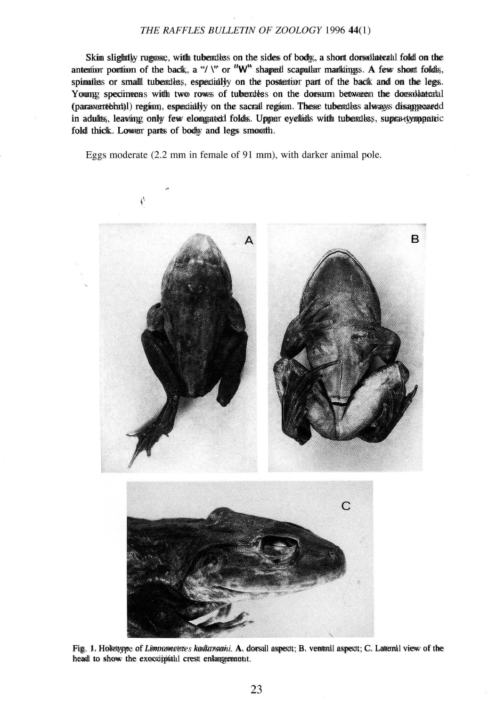# *THE RAFFLES BULLETIN OF ZOOLOGY* 199644(1)

Skin slightly rugose, with tubercles on the sides of body, a short dorsolateral fold on the Skin slightly rugose, with tubercles on the sides of body, a short dorsolateral fold on the anterior portion of the back, a "/  $\Upsilon$ " or "W" shaped scapular markings. A few short folds, spinules or small tubercles, especially on the posterior part of the back and on the legs. spinules or small tubercles, especially on the posterior part of the back and on the legs. Young specimens with two rows of tubercles on the dorsum between the dorsolateral (paravertebbat)1) region, especiallyy on the sacral region. These tubercless alwayss disappearedd in adultts, leaving only few elongated folds. Upper eyelids with tubercles, supra-tympanic fold thick. Lower parts of body and legs smooth.

Eggs moderate (2.2 mm in female of 91 mm), with darker animal pole.



Fig. 1. Holotype of *Limnonectes kadarsani.* A. dorsal aspect; B. ventral aspect; C. Lateral view of the Fig. 1. Holotype of *Limnonectes kadarsani.* A. dorsal aspect; B. ventral aspect; C. Lateral view of the head to show the exoccipital crest enlargement. head to show the exoccipital crest enlargement.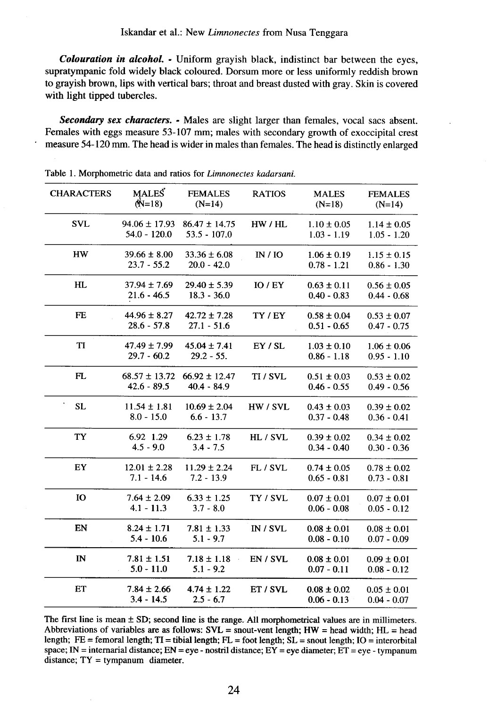*Colouration in alcohol. -* Uniform grayish black, indistinct bar between the eyes, supratympanic fold widely black coloured. Dorsum more or less uniformly reddish brown to grayish brown, lips with vertical bars; throat and breast dusted with gray. Skin is covered with light tipped tubercles.

*Secondary sex characters. -* Males are slight larger than females, vocal sacs absent. Females with eggs measure 53-107 mm; males with secondary growth of exoccipital crest measure 54-120 mm. The head is wider in males than females. The head is distinctly enlarged

| <b>CHARACTERS</b> | <b>MALES</b><br>$(N=18)$            | <b>FEMALES</b><br>$(N=14)$          | <b>RATIOS</b> | <b>MALES</b><br>$(N=18)$         | <b>FEMALES</b><br>$(N=14)$       |
|-------------------|-------------------------------------|-------------------------------------|---------------|----------------------------------|----------------------------------|
| <b>SVL</b>        | $94.06 \pm 17.93$<br>$54.0 - 120.0$ | $86.47 \pm 14.75$<br>$53.5 - 107.0$ | HW / HL       | $1.10 \pm 0.05$<br>$1.03 - 1.19$ | $1.14 \pm 0.05$<br>$1.05 - 1.20$ |
| <b>HW</b>         | $39.66 \pm 8.00$<br>$23.7 - 55.2$   | $33.36 \pm 6.08$<br>$20.0 - 42.0$   | IN/IO         | $1.06 \pm 0.19$<br>$0.78 - 1.21$ | $1.15 \pm 0.15$<br>$0.86 - 1.30$ |
| HL                | $37.94 \pm 7.69$<br>$21.6 - 46.5$   | $29.40 \pm 5.39$<br>$18.3 - 36.0$   | $IO$ / $EY$   | $0.63 \pm 0.11$<br>$0.40 - 0.83$ | $0.56 \pm 0.05$<br>$0.44 - 0.68$ |
| <b>FE</b>         | $44.96 \pm 8.27$<br>$28.6 - 57.8$   | $42.72 \pm 7.28$<br>$27.1 - 51.6$   | TY / EY       | $0.58 \pm 0.04$<br>$0.51 - 0.65$ | $0.53 \pm 0.07$<br>$0.47 - 0.75$ |
| TI                | $47.49 \pm 7.99$<br>$29.7 - 60.2$   | $45.04 \pm 7.41$<br>$29.2 - 55.$    | EY/SL         | $1.03 \pm 0.10$<br>$0.86 - 1.18$ | $1.06 \pm 0.06$<br>$0.95 - 1.10$ |
| FL                | $68.57 \pm 13.72$<br>$42.6 - 89.5$  | $66.92 \pm 12.47$<br>$40.4 - 84.9$  | TI / SVL      | $0.51 \pm 0.03$<br>$0.46 - 0.55$ | $0.53 \pm 0.02$<br>$0.49 - 0.56$ |
| <b>SL</b>         | $11.54 \pm 1.81$<br>$8.0 - 15.0$    | $10.69 \pm 2.04$<br>$6.6 - 13.7$    | HW / SVL      | $0.43 \pm 0.03$<br>$0.37 - 0.48$ | $0.39 \pm 0.02$<br>$0.36 - 0.41$ |
| TY                | 6.92 1.29<br>$4.5 - 9.0$            | $6.23 \pm 1.78$<br>$3.4 - 7.5$      | HL / SVL      | $0.39 \pm 0.02$<br>$0.34 - 0.40$ | $0.34 \pm 0.02$<br>$0.30 - 0.36$ |
| EY                | $12.01 \pm 2.28$<br>$7.1 - 14.6$    | $11.29 \pm 2.24$<br>$7.2 - 13.9$    | FL / SVL      | $0.74 \pm 0.05$<br>$0.65 - 0.81$ | $0.78 \pm 0.02$<br>$0.73 - 0.81$ |
| IO                | $7.64 \pm 2.09$<br>$4.1 - 11.3$     | $6.33 \pm 1.25$<br>$3.7 - 8.0$      | TY / SVL      | $0.07 \pm 0.01$<br>$0.06 - 0.08$ | $0.07 \pm 0.01$<br>$0.05 - 0.12$ |
| EN                | $8.24 \pm 1.71$<br>$5.4 - 10.6$     | $7.81 \pm 1.33$<br>$5.1 - 9.7$      | IN / SUL      | $0.08 \pm 0.01$<br>$0.08 - 0.10$ | $0.08 \pm 0.01$<br>$0.07 - 0.09$ |
| $\mathbf{I}$ N    | $7.81 \pm 1.51$<br>$5.0 - 11.0$     | $7.18 \pm 1.18$<br>$5.1 - 9.2$      | EN / SVL      | $0.08 \pm 0.01$<br>$0.07 - 0.11$ | $0.09 \pm 0.01$<br>$0.08 - 0.12$ |
| ET                | $7.84 \pm 2.66$<br>$3.4 - 14.5$     | $4.74 \pm 1.22$<br>$2.5 - 6.7$      | ET / SVL      | $0.08 \pm 0.02$<br>$0.06 - 0.13$ | $0.05 \pm 0.01$<br>$0.04 - 0.07$ |

Table 1. Morphometric data and ratios for *Limnonectes kadarsani.*

The first line is mean  $\pm$  SD; second line is the range. All morphometrical values are in millimeters. Abbreviations of variables are as follows:  $SVL =$  snout-vent length;  $HW =$  head width;  $HL =$  head length;  $FE =$  femoral length;  $TI =$  tibial length;  $FL =$  foot length;  $SL =$  snout length;  $IO =$  interorbital space; IN = internarial distance; EN = eye - nostril distance; EY = eye diameter; ET = eye - tympanum distance; TY = tympanum diameter.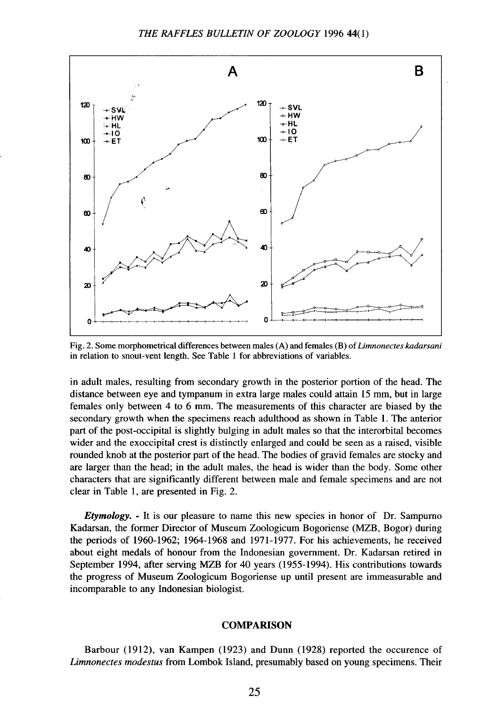

Fig. 2. Some morphometrical differences between males (A) and females (B) of *Limnonectes kadarsani* in relation to snout-vent length. See Table I for abbreviations of variables.

in adult males, resulting from secondary growth in the posterior portion of the head. The distance between eye and tympanum in extra large males could attain 15 mm, but in large females only between 4 to 6 mm. The measurements of this character are biased by the secondary growth when the specimens reach adulthood as shown in Table 1. The anterior part of the post-occipital is slightly bulging in adult males so that the interorbital becomes wider and the exoccipital crest is distinctly enlarged and could be seen as a raised, visible rounded knob at the posterior part of the head. The bodies of gravid females are stocky and are larger than the head; in the adult males, the head is wider than the body. Some other characters that are significantly different between male and female specimens and are not clear in Table 1, are presented in Fig. 2.

*Etymology. -* It is our pleasure to name this new species in honor of Dr. Sampurno Kadarsan, the former Director of Museum Zoologicum Bogoriense (MZB, Bogor) during the periods of 1960-1962; 1964-1968 and 1971-1977. For his achievements, he received about eight medals of honour from the Indonesian government. Dr. Kadarsan retired in September 1994, after serving MZB for 40 years (1955-1994). His contributions towards the progress of Museum Zoologicum Bogoriense up until present are immeasurable and incomparable to any Indonesian biologist.

### **COMPARISON**

Barbour (1912), van Kampen (1923) and Dunn (1928) reported the occurence of *Limnonectes modestus* from Lombok Island, presumably based on young specimens. Their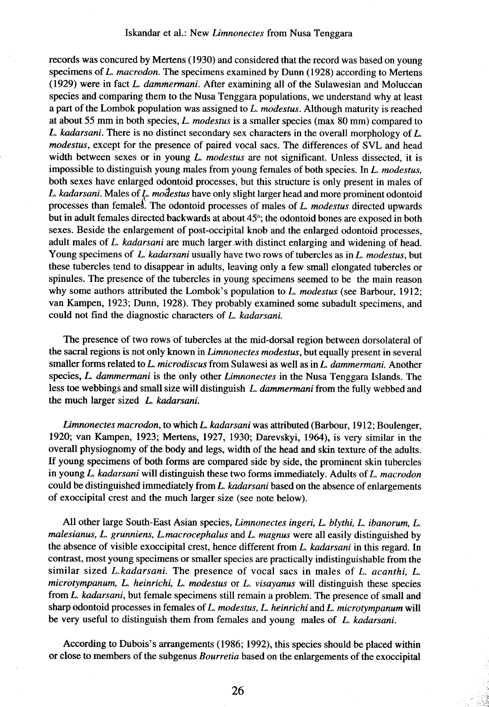#### Iskandar et al.: New Limnonectes from Nusa Tenggara

records was concured by Mertens (1930) and considered that the record was based on young specimens of *L. macrodon.* The specimens examined by Dunn (1928) according to Mertens (1929) were in fact *L. dammermani*. After examining all of the Sulawesian and Moluccan species and comparing them to the Nusa Tenggara populations, we understand why at least a part of the Lombok population was assigned to *L. modestus.* Although maturity is reached at about 55 mm in both species, *L. modestus* is a smaller species (max 80 mm) compared to *L. kadarsani.* There is no distinct secondary sex characters in the overall morphology of *L. modestus,* except for the presence of paired vocal sacs. The differences of SVL and head width between sexes or in young *L. modestus* are not significant. Unless dissected, it is impossible to distinguish young males from young females of both species. In *L. modestus,* both sexes have enlarged odontoid processes, but this structure is only present in males of *L. kadarsani.* Males of {-.*modestus* have only slight larger head and more prominent odontoid processes than females. The odontoid processes of males of *L. modestus* directed upwards but in adult females directed backwards at about 45°; the odontoid bones are exposed in both sexes. Beside the enlargement of post-occipital knob and the enlarged odontoid processes, adult males of *L. kadarsani* are much larger with distinct enlarging and widening of head. Young specimens of *L. kadarsani* usually have two rows of tubercles as in *L. modestus,* but these tubercles tend to disappear in adults, leaving only a few small elongated tubercles or spinules. The presence of the tubercles in young specimens seemed to be the main reason why some authors attributed the Lombok's population to *L. modestus* (see Barbour, 1912; van Kampen, 1923; Dunn, 1928). They probably examined some subadult specimens, and could not find the diagnostic characters of *L. kadarsani.*

The presence of two rows of tubercles at the mid-dorsal region between dorsolateral of the sacral regions is not only known in *Limnonectes modestus,* but equally present in several smaller forms related to *L. microdiscus* from Sulawesi as well as in *L. dammermani.* Another species, *L. dammermani* is the only other *Limnonectes* in the Nusa Tenggara Islands. The less toe webbings and small size will distinguish *L. dammermani* from the fully webbed and the much larger sized *L. kadarsani.*

*Limnonectes macrodon,* to which *L. kadarsani* was attributed (Barbour, 1912; Boulenger, 1920; van Kampen, 1923; Mertens, 1927, 1930; Darevskyi, 1964), is very similar in the overall physiognomy of the body and legs, width of the head and skin texture of the adults. If young specimens of both forms are compared side by side, the prominent skin tubercles in young *L. kadarsani* will distinguish these two forms immediately. Adults of *L. macrodon* could be distinguished immediately from *L. kadarsani* based on the absence of enlargements of exoccipital crest and the much larger size (see note below).

All other large South-East Asian species, *Limnonectes ingeri, L. blythi, L. ibanorum, L. malesianus, L. grunniens, L.macrocephalus* and *L. magnus* were all easily distinguished by the absence of visible exoccipital crest, hence different from *L. kadarsani* in this regard. In contrast, most young specimens or smaller species are practically indistinguishable from the similar sized *L.kadarsani.* The presence of vocal sacs in males of *L. acanthi, L. microtympanum, L. heinrichi, L. modestus* or *L. visayanus* will distinguish these species from *L. kadarsani,* but female specimens still remain a problem. The presence of small and sharp odontoid processes in females of *L. modestus, L. heinrichi* and *L. microtympanum* will be very useful to distinguish them from females and young males of *L. kadarsani.*

According to Dubois's arrangements (1986; 1992), this species should be placed within or close to members of the subgenus *Bourretia* based on the enlargements of the exoccipital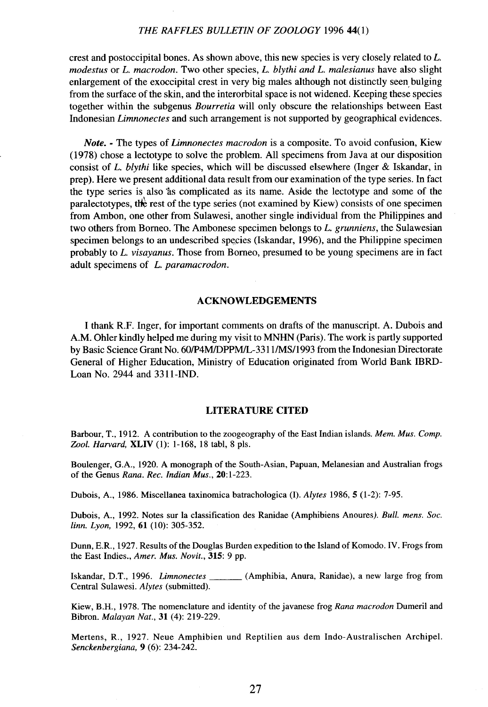# THE RAFFLES BULLETIN OF ZOOLOGY 1996 44(1)

crest and postoccipital bones. As shown above, this new species is very closely related to *L. modestus* or *L. macrodon.* Two other species, *L. blythi and L. malesianus* have also slight enlargement of the exoccipital crest in very big males although not distinctly seen bulging from the surface of the skin, and the interorbital space is not widened. Keeping these species together within the subgenus *Bourretia* will only obscure the relationships between East Indonesian *Limnonectes* and such arrangement is not supported by geographical evidences.

*Note. -* The types of *Limnonectes macrodon* is a composite. To avoid confusion, Kiew (1978) chose a lectotype to solve the problem. All specimens from Java at our disposition consist of *L. blythi* like species, which will be discussed elsewhere (Inger & Iskandar, in prep). Here we present additional data result from our examination of the type series. In fact the type series is also 'as complicated as its name. Aside the lectotype and some of the paralectotypes, the rest of the type series (not examined by Kiew) consists of one specimen from Ambon, one other from Sulawesi, another single individual from the Philippines and two others from Borneo. The Ambonese specimen belongs to *L. grunniens,* the Sulawesian specimen belongs to an undescribed species (Iskandar, 1996), and the Philippine specimen probably to *L. visayanus.* Those from Borneo, presumed to be young specimens are in fact adult specimens of *L. paramacrodon.*

## **ACKNOWLEDGEMENTS**

I thank R.F. Inger, for important comments on drafts of the manuscript. A. Dubois and A.M. Ohler kindly helped me during my visit to MNHN (Paris). The work is partly supported by Basic Science Grant No. 601P4M/DPPMIL-3311/MS/1993 from the Indonesian Directorate General of Higher Education, Ministry of Education originated from World Bank IBRD-Loan No. 2944 and 331l-IND.

# **LITERATURE CITED**

Barbour, T., 1912. A contribution to the zoogeography of the East Indian islands. *Mem. Mus. Compo Zool. Harvard,* XLIV (I): 1-168, 18 tabl, 8 pis.

Boulenger, G.A., 1920. A monograph of the South-Asian, Papuan, Melanesian and Australian frogs of the Genus *Rana. Rec. Indian Mus., 20:1-223.*

Dubois, A., 1986. Miscellanea taxinomica batrachologica (I). Alytes 1986, 5 (1-2): 7-95.

Dubois, A., 1992. Notes sur la classification des Ranidae (Amphibiens Anoures). *Bull. mens. Soc. linn. Lyon,* 1992, 61 (10): 305-352.

Dunn, E.R., 1927. Results of the Douglas Burden expedition to the Island of Komodo. IV. Frogs from the East Indies., *Amer. Mus. Novit.,* 315: 9 pp.

Iskandar, D.T., 1996. *Limnonectes* (Amphibia, Anura, Ranidae), a new large frog from Central Sulawesi. *Alytes* (submitted).

Kiew, B.H., 1978. The nomenclature and identity of the javanese frog *Rana macrodon* Dumeril and Bibron. *Malayan Nat.,* 31 (4): 219-229.

Mertens, R., 1927. Neue Amphibien und Reptilien aus dem Indo-Australischen Archipel. *Senckenbergiana,* 9 (6): 234-242.